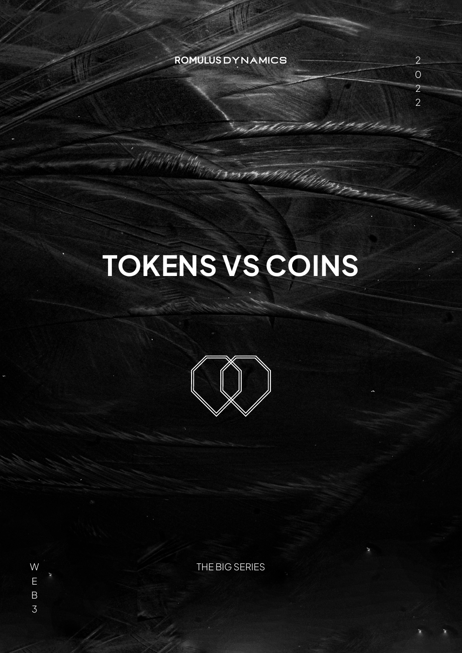#### **ROMULUS** DYNAMICS

Collins Corpor

All de

# **TOKENS VS COINS**

Ukliform<sub>i</sub>



W THE BIG SERIES

E B 3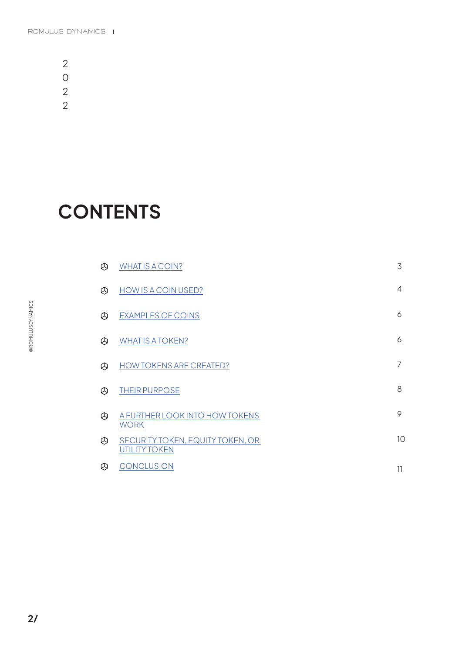**CONTENTS**

|   | <b>WHATIS A COIN?</b>                                    | 3  |
|---|----------------------------------------------------------|----|
|   | HOW IS A COIN USED?                                      | 4  |
| ® | <b>EXAMPLES OF COINS</b>                                 | 6  |
|   | <b>WHAT IS A TOKEN?</b>                                  | 6  |
| ® | <b>HOW TOKENS ARE CREATED?</b>                           | 7  |
|   | <b>THEIR PURPOSE</b>                                     | 8  |
|   | A FURTHER LOOK INTO HOW TOKENS<br><b>WORK</b>            | 9  |
|   | SECURITY TOKEN, EQUITY TOKEN, OR<br><b>UTILITY TOKEN</b> | 10 |
| 4 | <b>CONCLUSION</b>                                        | 11 |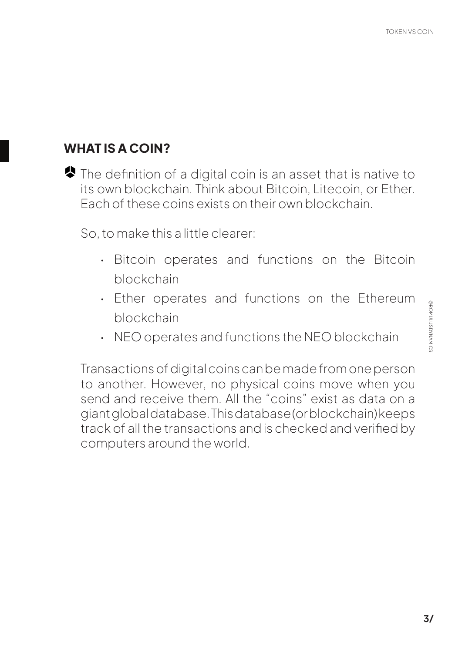# <span id="page-2-0"></span>**WHAT IS A COIN?**

The definition of a digital coin is an asset that is native to its own blockchain. Think about Bitcoin, Litecoin, or Ether. Each of these coins exists on their own blockchain.

So, to make this a little clearer:

- Bitcoin operates and functions on the Bitcoin blockchain
- Ether operates and functions on the Ethereum blockchain
- NEO operates and functions the NEO blockchain

Transactions of digital coins can be made from one person to another. However, no physical coins move when you send and receive them. All the "coins" exist as data on a giant global database. This database (or blockchain) keeps track of all the transactions and is checked and verified by computers around the world.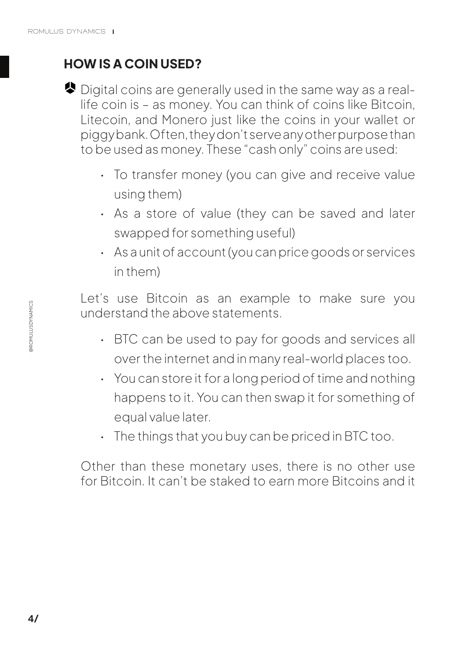# <span id="page-3-0"></span>**HOW IS A COIN USED?**

- Digital coins are generally used in the same way as a reallife coin is – as money. You can think of coins like Bitcoin, Litecoin, and Monero just like the coins in your wallet or piggy bank. Often, they don't serve any other purpose than to be used as money. These "cash only" coins are used:
	- To transfer money (you can give and receive value using them)
	- As a store of value (they can be saved and later swapped for something useful)
	- As a unit of account (you can price goods or services in them)

Let's use Bitcoin as an example to make sure you understand the above statements.

- BTC can be used to pay for goods and services all over the internet and in many real-world places too.
- You can store it for a long period of time and nothing happens to it. You can then swap it for something of equal value later.
- The things that you buy can be priced in BTC too.

Other than these monetary uses, there is no other use for Bitcoin. It can't be staked to earn more Bitcoins and it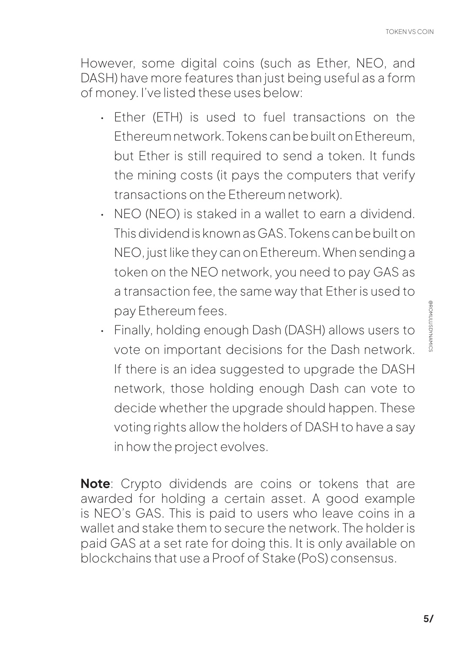TOKEN VS COIN

However, some digital coins (such as Ether, NEO, and DASH) have more features than just being useful as a form of money. I've listed these uses below:

- Ether (ETH) is used to fuel transactions on the Ethereum network. Tokens can be built on Ethereum, but Ether is still required to send a token. It funds the mining costs (it pays the computers that verify transactions on the Ethereum network).
- NEO (NEO) is staked in a wallet to earn a dividend. This dividend is known as GAS. Tokens can be built on NEO, just like they can on Ethereum. When sending a token on the NEO network, you need to pay GAS as a transaction fee, the same way that Ether is used to pay Ethereum fees.
- Finally, holding enough Dash (DASH) allows users to vote on important decisions for the Dash network. If there is an idea suggested to upgrade the DASH network, those holding enough Dash can vote to decide whether the upgrade should happen. These voting rights allow the holders of DASH to have a say in how the project evolves.

**Note**: Crypto dividends are coins or tokens that are awarded for holding a certain asset. A good example is NEO's GAS. This is paid to users who leave coins in a wallet and stake them to secure the network. The holder is paid GAS at a set rate for doing this. It is only available on blockchains that use a Proof of Stake (PoS) consensus.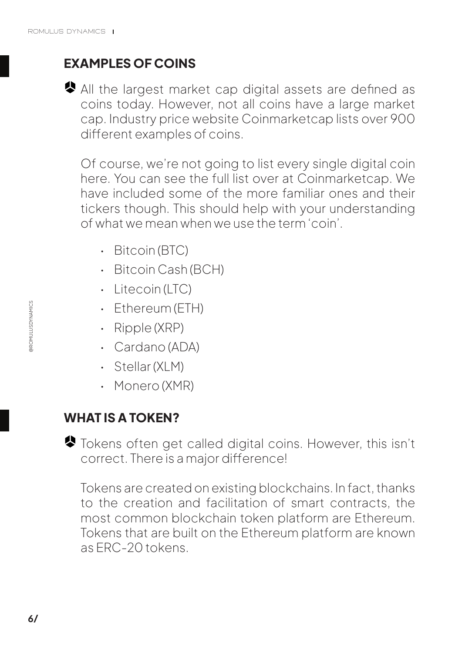# <span id="page-5-0"></span>**EXAMPLES OF COINS**

All the largest market cap digital assets are defined as coins today. However, not all coins have a large market cap. Industry price website Coinmarketcap lists over 900 different examples of coins.

Of course, we're not going to list every single digital coin here. You can see the full list over at Coinmarketcap. We have included some of the more familiar ones and their tickers though. This should help with your understanding of what we mean when we use the term 'coin'.

- Bitcoin (BTC)
- Bitcoin Cash (BCH)
- Litecoin (LTC)
- Ethereum (ETH)
- Ripple (XRP)
- Cardano (ADA)
- Stellar (XLM)
- Monero (XMR)

#### **WHAT IS A TOKEN?**

Tokens often get called digital coins. However, this isn't correct. There is a major difference!

Tokens are created on existing blockchains. In fact, thanks to the creation and facilitation of smart contracts, the most common blockchain token platform are Ethereum. Tokens that are built on the Ethereum platform are known as ERC-20 tokens.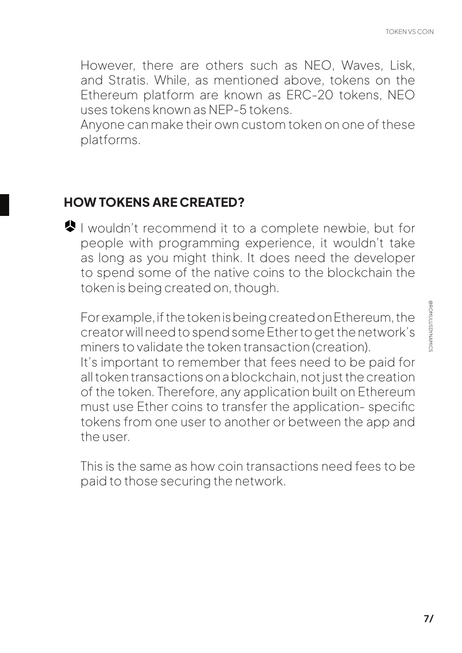<span id="page-6-0"></span>However, there are others such as NEO, Waves, Lisk, and Stratis. While, as mentioned above, tokens on the Ethereum platform are known as ERC-20 tokens, NEO uses tokens known as NEP-5 tokens.

Anyone can make their own custom token on one of these platforms.

#### **HOW TOKENS ARE CREATED?**

I wouldn't recommend it to a complete newbie, but for people with programming experience, it wouldn't take as long as you might think. It does need the developer to spend some of the native coins to the blockchain the token is being created on, though.

For example, if the token is being created on Ethereum, the creator will need to spend some Ether to get the network's miners to validate the token transaction (creation). It's important to remember that fees need to be paid for all token transactions on a blockchain, not just the creation of the token. Therefore, any application built on Ethereum must use Ether coins to transfer the application- specific tokens from one user to another or between the app and the user.

This is the same as how coin transactions need fees to be paid to those securing the network.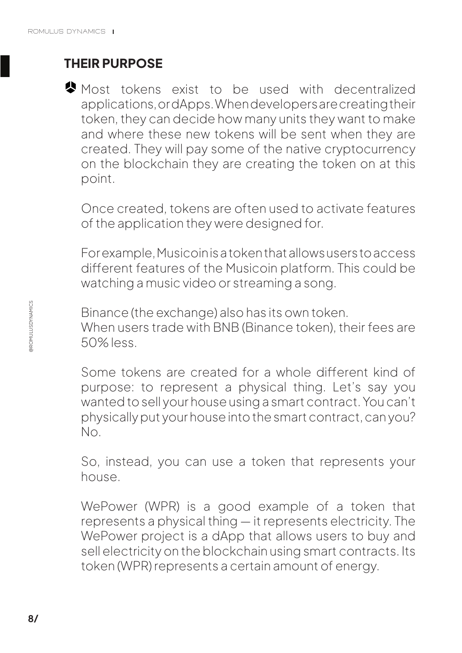# <span id="page-7-0"></span>**THEIR PURPOSE**

Most tokens exist to be used with decentralized applications, or dApps. When developers are creating their token, they can decide how many units they want to make and where these new tokens will be sent when they are created. They will pay some of the native cryptocurrency on the blockchain they are creating the token on at this point.

Once created, tokens are often used to activate features of the application they were designed for.

For example, Musicoin is a token that allows users to access different features of the Musicoin platform. This could be watching a music video or streaming a song.

Binance (the exchange) also has its own token. When users trade with BNB (Binance token), their fees are 50% less.

Some tokens are created for a whole different kind of purpose: to represent a physical thing. Let's say you wanted to sell your house using a smart contract. You can't physically put your house into the smart contract, can you? No.

So, instead, you can use a token that represents your house.

WePower (WPR) is a good example of a token that represents a physical thing — it represents electricity. The WePower project is a dApp that allows users to buy and sell electricity on the blockchain using smart contracts. Its token (WPR) represents a certain amount of energy.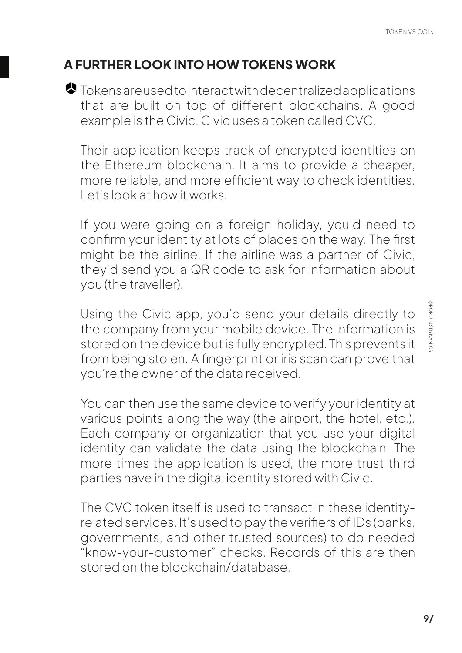# <span id="page-8-0"></span>**A FURTHER LOOK INTO HOW TOKENS WORK**

Tokens are used to interact with decentralized applications that are built on top of different blockchains. A good example is the Civic. Civic uses a token called CVC.

Their application keeps track of encrypted identities on the Ethereum blockchain. It aims to provide a cheaper, more reliable, and more efficient way to check identities. Let's look at how it works.

If you were going on a foreign holiday, you'd need to confirm your identity at lots of places on the way. The first might be the airline. If the airline was a partner of Civic, they'd send you a QR code to ask for information about you (the traveller).

Using the Civic app, you'd send your details directly to the company from your mobile device. The information is stored on the device but is fully encrypted. This prevents it from being stolen. A fingerprint or iris scan can prove that you're the owner of the data received.

You can then use the same device to verify your identity at various points along the way (the airport, the hotel, etc.). Each company or organization that you use your digital identity can validate the data using the blockchain. The more times the application is used, the more trust third parties have in the digital identity stored with Civic.

The CVC token itself is used to transact in these identityrelated services. It's used to pay the verifiers of IDs (banks, governments, and other trusted sources) to do needed "know-your-customer" checks. Records of this are then stored on the blockchain/database.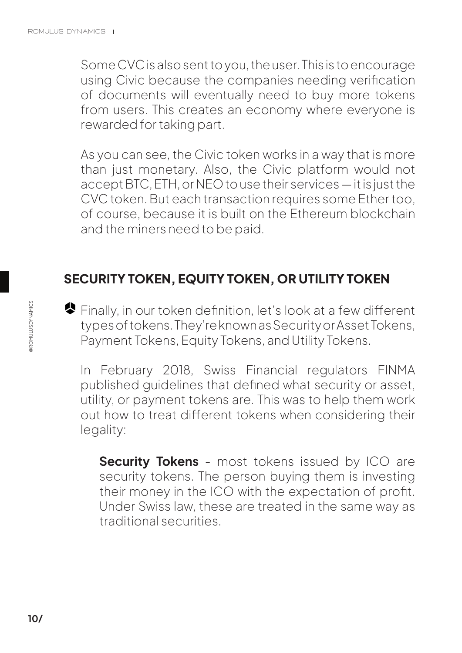<span id="page-9-0"></span>Some CVC is also sent to you, the user. This is to encourage using Civic because the companies needing verification of documents will eventually need to buy more tokens from users. This creates an economy where everyone is rewarded for taking part.

As you can see, the Civic token works in a way that is more than just monetary. Also, the Civic platform would not accept BTC, ETH, or NEO to use their services — it is just the CVC token. But each transaction requires some Ether too, of course, because it is built on the Ethereum blockchain and the miners need to be paid.

### **SECURITY TOKEN, EQUITY TOKEN, OR UTILITY TOKEN**

◆ Finally, in our token definition, let's look at a few different types of tokens. They're known as Security or Asset Tokens, Payment Tokens, Equity Tokens, and Utility Tokens.

In February 2018, Swiss Financial regulators FINMA published guidelines that defined what security or asset, utility, or payment tokens are. This was to help them work out how to treat different tokens when considering their legality:

**Security Tokens** - most tokens issued by ICO are security tokens. The person buying them is investing their money in the ICO with the expectation of profit. Under Swiss law, these are treated in the same way as traditional securities.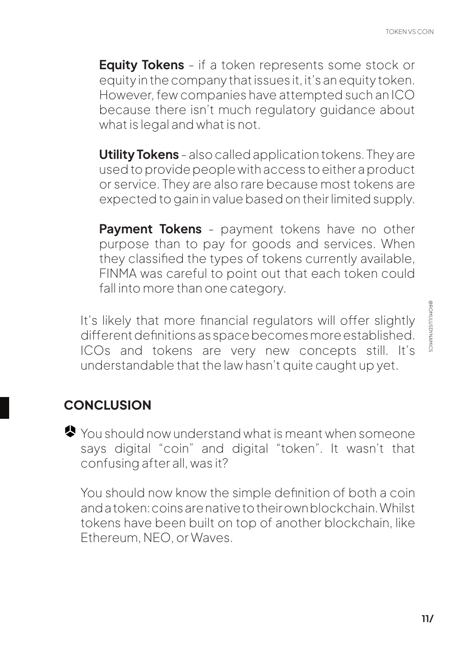<span id="page-10-0"></span>**Equity Tokens** - if a token represents some stock or equity in the company that issues it, it's an equity token. However, few companies have attempted such an ICO because there isn't much regulatory guidance about what is legal and what is not.

**Utility Tokens** - also called application tokens. They are used to provide people with access to either a product or service. They are also rare because most tokens are expected to gain in value based on their limited supply.

**Payment Tokens** - payment tokens have no other purpose than to pay for goods and services. When they classified the types of tokens currently available, FINMA was careful to point out that each token could fall into more than one category.

It's likely that more financial regulators will offer slightly different definitions as space becomes more established. ICOs and tokens are very new concepts still. It's understandable that the law hasn't quite caught up yet.

# **CONCLUSION**

◆ You should now understand what is meant when someone says digital "coin" and digital "token". It wasn't that confusing after all, was it?

You should now know the simple definition of both a coin and a token: coins are native to their own blockchain. Whilst tokens have been built on top of another blockchain, like Ethereum, NEO, or Waves.